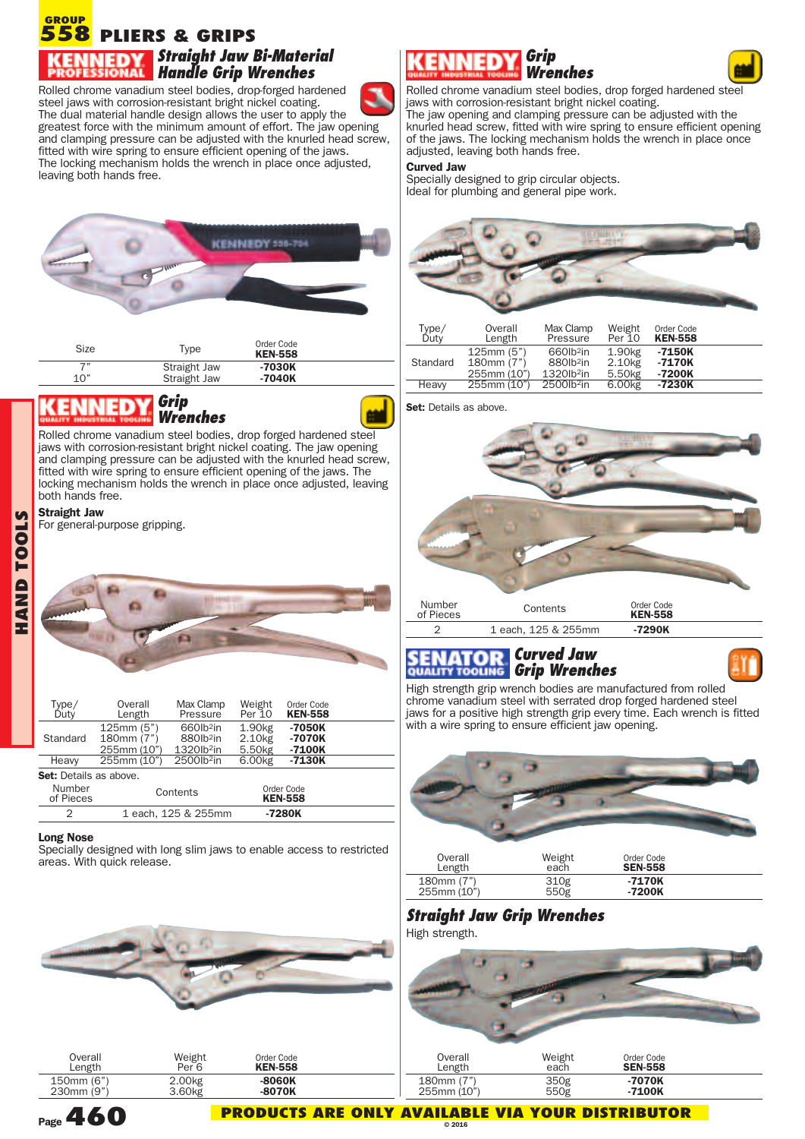#### **PLIERS & GRIPS 558 GROUP** *Straight Jaw Bi-Material Handle Grip Wrenches*

Rolled chrome vanadium steel bodies, drop-forged hardened steel jaws with corrosion-resistant bright nickel coating. The dual material handle design allows the user to apply the greatest force with the minimum amount of effort. The jaw opening and clamping pressure can be adjusted with the knurled head screw, fitted with wire spring to ensure efficient opening of the jaws. The locking mechanism holds the wrench in place once adjusted, leaving both hands free.



| Size | <b>Type</b>  | <b>UNDI VUU</b><br><b>KEN-558</b> |  |
|------|--------------|-----------------------------------|--|
| 7"   | Straight Jaw | -7030K                            |  |
| 1 በ" | Straight Jaw | $-7040K$                          |  |

### *Grip Wrenches*

Rolled chrome vanadium steel bodies, drop forged hardened steel jaws with corrosion-resistant bright nickel coating. The jaw opening and clamping pressure can be adjusted with the knurled head screw, fitted with wire spring to ensure efficient opening of the jaws. The locking mechanism holds the wrench in place once adjusted, leaving both hands free.

#### **Straight Jaw**

**OOLS**

For general-purpose gripping.



| Type/<br>Duty                 | Overall<br>Length                      | Max Clamp<br>Pressure                                                    | Weight<br>Per 10                                               | Order Code<br><b>KEN-558</b> |  |
|-------------------------------|----------------------------------------|--------------------------------------------------------------------------|----------------------------------------------------------------|------------------------------|--|
| Standard                      | 125mm(5")<br>180mm (7")<br>255mm (10") | 660lb <sup>2</sup> in<br>880lb <sup>2</sup> in<br>1320lb <sup>2</sup> in | 1.90 <sub>kg</sub><br>2.10 <sub>kg</sub><br>5.50 <sub>kg</sub> | $-7050K$<br>-7070K<br>-7100K |  |
| Heavy                         | 255mm (10")                            | 2500lb <sup>2</sup> in                                                   | 6.00kg                                                         | -7130K                       |  |
| <b>Set:</b> Details as above. |                                        |                                                                          |                                                                |                              |  |
| Number<br>of Pieces           |                                        | Contents                                                                 |                                                                | Order Code<br><b>KEN-558</b> |  |
|                               |                                        | 1 each, 125 & 255mm                                                      |                                                                | -7280K                       |  |

#### **Long Nose**

Specially designed with long slim jaws to enable access to restricted areas. With quick release.



| Overall    | Weight             | Order Code     |   |
|------------|--------------------|----------------|---|
| Length     | Per <sup>6</sup>   | <b>KEN-558</b> |   |
| 150mm (6") | 2.00 <sub>kg</sub> | -8060K         | и |
| 230mm (9") | 3.60 <sub>kg</sub> | $-8070K$       |   |

### *Grip Wrenches*



Rolled chrome vanadium steel bodies, drop forged hardened steel jaws with corrosion-resistant bright nickel coating.

The jaw opening and clamping pressure can be adjusted with the knurled head screw, fitted with wire spring to ensure efficient opening of the jaws. The locking mechanism holds the wrench in place once adjusted, leaving both hands free.

#### **Curved Jaw**

Specially designed to grip circular objects. Ideal for plumbing and general pipe work.



| Type/<br>Duty | Overall<br>Length                      | Max Clamp<br>Pressure                                               | Weight<br>Per 10                                               | Order Code<br><b>KEN-558</b> |  |
|---------------|----------------------------------------|---------------------------------------------------------------------|----------------------------------------------------------------|------------------------------|--|
| Standard      | 125mm(5")<br>180mm (7")<br>255mm (10") | 660lb <sup>2</sup> in<br>880lb <sup>2</sup> in<br>$1320$ l $b^2$ in | 1.90 <sub>kg</sub><br>2.10 <sub>kg</sub><br>5.50 <sub>kg</sub> | -7150K<br>-7170K<br>-7200K   |  |
| Heavy         | 255mm (10")                            | 2500lb <sup>2</sup> in                                              | 6.00kg                                                         | -7230K                       |  |

**Set:** Details as above.



### *Curved Jaw Grip Wrenches*

High strength grip wrench bodies are manufactured from rolled chrome vanadium steel with serrated drop forged hardened steel jaws for a positive high strength grip every time. Each wrench is fitted with a wire spring to ensure efficient jaw opening.



| Overall     | Weight | Order Code     |  |
|-------------|--------|----------------|--|
| Length      | each   | <b>SEN-558</b> |  |
| 180mm (7")  | 310g   | $-7170K$       |  |
| 255mm (10") | 550g   | -7200K         |  |

# *Straight Jaw Grip Wrenches*

High strength.



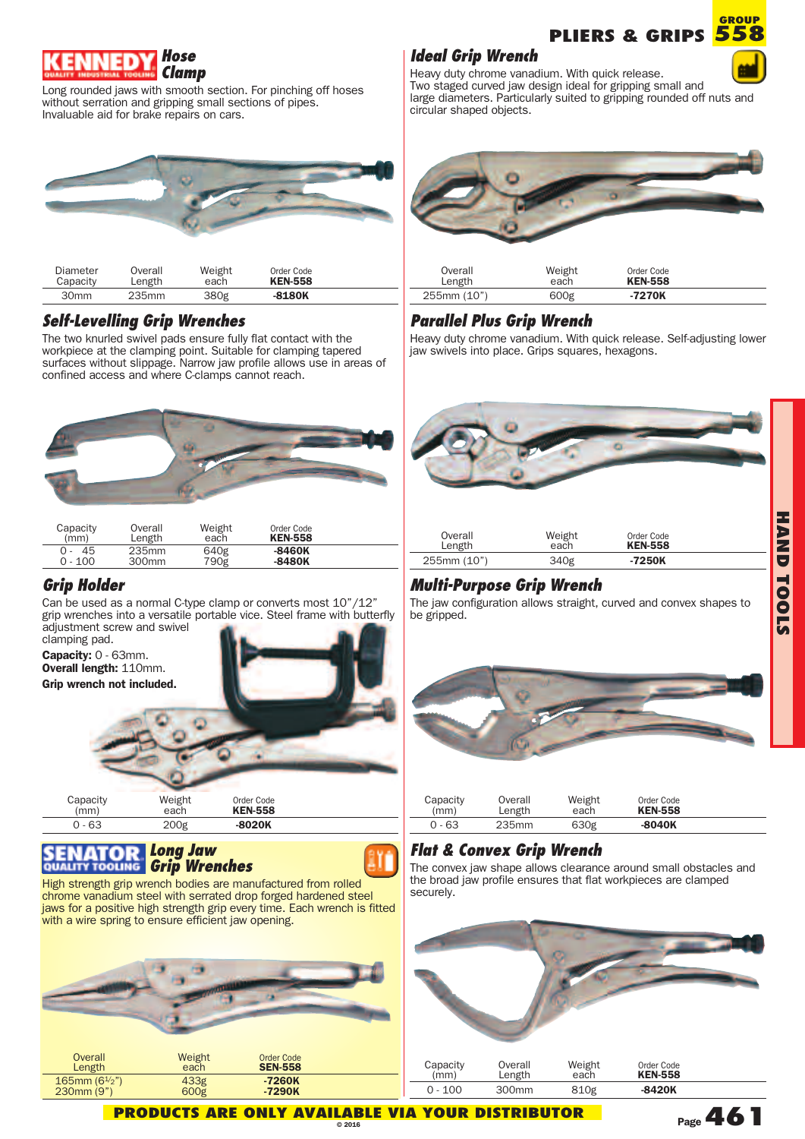

Long rounded jaws with smooth section. For pinching off hoses without serration and gripping small sections of pipes. Invaluable aid for brake repairs on cars.



| Diameter         | Overall | Weight | Order Code     |  |
|------------------|---------|--------|----------------|--|
| Capacity         | Length  | each   | <b>KEN-558</b> |  |
| 30 <sub>mm</sub> | 235mm   | 380g   | $-8180K$       |  |

### *Self-Levelling Grip Wrenches*

The two knurled swivel pads ensure fully flat contact with the workpiece at the clamping point. Suitable for clamping tapered surfaces without slippage. Narrow jaw profile allows use in areas of confined access and where C-clamps cannot reach.



| Capacity  | Overall           | Weight | Order Code     |  |
|-----------|-------------------|--------|----------------|--|
| (mm)      | Length            | each   | <b>KEN-558</b> |  |
| 45        | 235mm             | 640g   | $-8460K$       |  |
| $0 - 100$ | 300 <sub>mm</sub> | 790g   | -8480K         |  |

### *Grip Holder*

Can be used as a normal C-type clamp or converts most 10"/12" grip wrenches into a versatile portable vice. Steel frame with butterfly adjustment screw and swivel

clamping pad. **Capacity:** <sup>0</sup> - 63mm. **Overall length:** 110mm. **Grip wrench not included.**



#### *Long Jaw Grip Wrenches*





## *Ideal Grip Wrench*



**H A N D T O O L S**

**GROUP**

Heavy duty chrome vanadium. With quick release. Two staged curved jaw design ideal for gripping small and large diameters. Particularly suited to gripping rounded off nuts and circular shaped objects.



# *Parallel Plus Grip Wrench*

255mm (10") 600g **-7270K**

Heavy duty chrome vanadium. With quick release. Self-adjusting lower jaw swivels into place. Grips squares, hexagons.



# *Multi-Purpose Grip Wrench*

The jaw configuration allows straight, curved and convex shapes to be gripped.



| Capacity | Overall | Weight | Order Code     |  |
|----------|---------|--------|----------------|--|
| (mm)     | Length  | each   | <b>KEN-558</b> |  |
| $0 - 63$ | 235mm   | 630g   | $-8040K$       |  |

# *Flat & Convex Grip Wrench*

The convex jaw shape allows clearance around small obstacles and the broad jaw profile ensures that flat workpieces are clamped securely.



**Page461**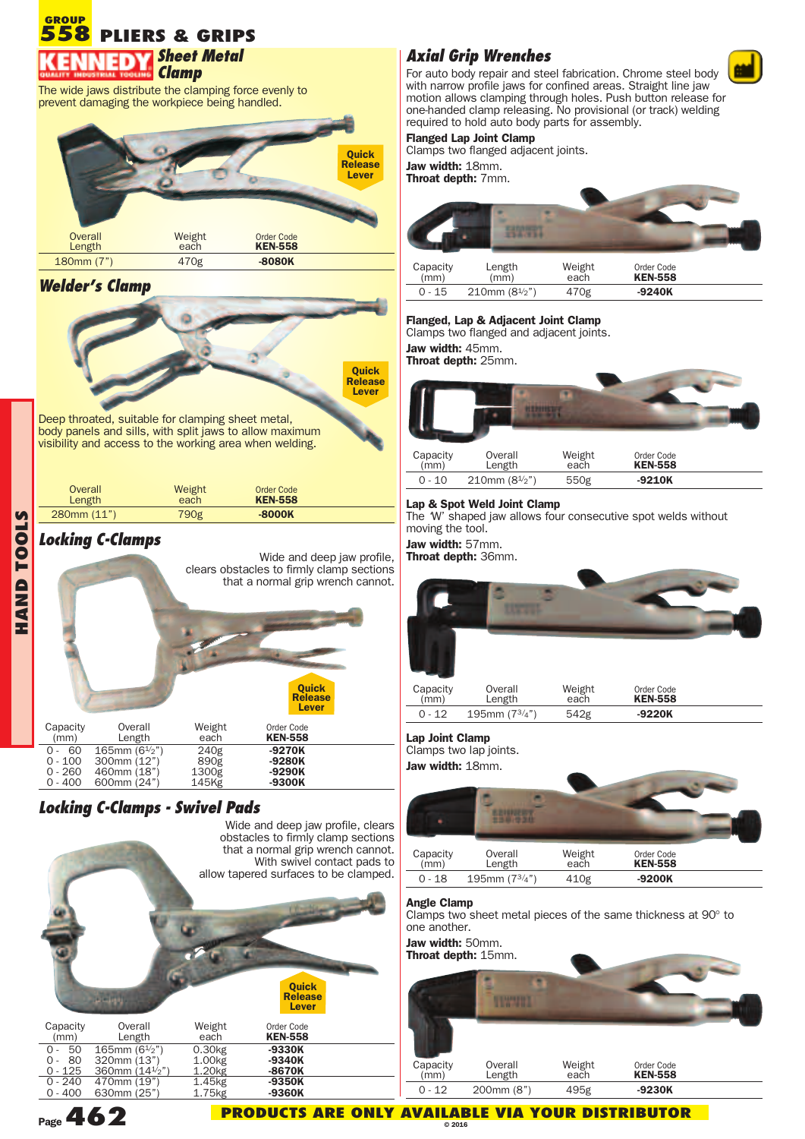**PLIERS & GRIPS 558 GROUP** *Sheet Metal Clamp*

The wide jaws distribute the clamping force evenly to prevent damaging the workpiece being handled.



### *Welder's Clamp*



body panels and sills, with split jaws to allow maximum visibility and access to the working area when welding.

| Overall          | Weight | Order Code     |  |
|------------------|--------|----------------|--|
| Length           | each   | <b>KEN-558</b> |  |
| $280$ mm $(11")$ | 790g   | $-8000K$       |  |

# *Locking C-Clamps*

**OLS**

| $\mathbf{C}$     |                                         |                                                                     |                                | Wide and deep jaw profile,<br>clears obstacles to firmly clamp sections<br>that a normal grip wrench cannot. |  |
|------------------|-----------------------------------------|---------------------------------------------------------------------|--------------------------------|--------------------------------------------------------------------------------------------------------------|--|
| A<br>N<br>H<br>H |                                         |                                                                     |                                | <b>Ouick</b><br><b>Release</b><br>Lever                                                                      |  |
|                  | Capacity<br>(mm)                        | Overall<br>Length                                                   | Weight<br>each                 | Order Code<br><b>KEN-558</b>                                                                                 |  |
|                  | 60<br>$0 - 100$<br>0 - 260<br>$0 - 400$ | 165mm $(6\frac{1}{2})$<br>300mm (12")<br>460mm (18")<br>600mm (24") | 240g<br>890g<br>1300g<br>145Kg | -9270K<br>$-9280K$<br>-9290K<br>-9300K                                                                       |  |

# *Locking C-Clamps - Swivel Pads*



# *Axial Grip Wrenches*

For auto body repair and steel fabrication. Chrome steel body with narrow profile jaws for confined areas. Straight line jaw motion allows clamping through holes. Push button release for one-handed clamp releasing. No provisional (or track) welding required to hold auto body parts for assembly.

#### **Flanged Lap Joint Clamp**

Clamps two flanged adjacent joints.

**Jaw width:** 18mm. **Throat depth:** 7mm.



| Capacity | Length            | Weight | Order Code     |  |
|----------|-------------------|--------|----------------|--|
| (mm)     | (mm)              | each   | <b>KEN-558</b> |  |
| 0 - 15   | 210mm $(8^{1/2})$ | 470g   | $-9240K$       |  |

#### **Flanged, Lap & Adjacent Joint Clamp**

Clamps two flanged and adjacent joints.

**Jaw width:** 45mm.

**Throat depth:** 25mm.



| Capacity | Overall                | Weight | Order Code     |  |
|----------|------------------------|--------|----------------|--|
| (mm)     | Length                 | each   | <b>KEN-558</b> |  |
| 0 - 10   | 210mm $(8\frac{1}{2})$ | 550g   | $-9210K$       |  |

#### **Lap & Spot Weld Joint Clamp**

The 'W' shaped jaw allows four consecutive spot welds without moving the tool.

**Jaw width:** 57mm.

**Throat depth:** 36mm.



0 - 12 195mm (73/4") 542g **-9220K**

**Lap Joint Clamp**

Clamps two lap joints.

**Jaw width:** 18mm.



#### **Angle Clamp**

Clamps two sheet metal pieces of the same thickness at 90° to one another.

**Jaw width:** 50mm. **Throat depth:** 15mm.